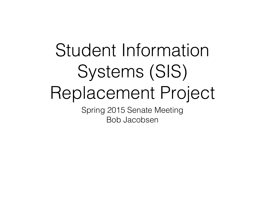### Student Information Systems (SIS) Replacement Project

Spring 2015 Senate Meeting Bob Jacobsen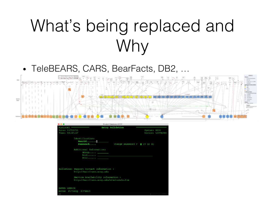#### What's being replaced and Why

• TeleBEARS, CARS, BearFacts, DB2, …



| $\bullet\bullet\bullet$ | Student Database UCOP                                                                                                                                   |              |                    |
|-------------------------|---------------------------------------------------------------------------------------------------------------------------------------------------------|--------------|--------------------|
| KLGLGON1 -              | Entry Validation                                                                                                                                        |              |                    |
| Date: 04/22/15          |                                                                                                                                                         | System: UC30 |                    |
| Time: 06:43:47          |                                                                                                                                                         |              | Device: L30TACXH   |
|                         | Identification:<br>Userid                                                                                                                               |              |                    |
|                         | Password<br>Change Password ? $\mathbf{N}$ (Y or N)                                                                                                     |              |                    |
|                         | Additional Information:<br>Acct <u>________</u><br>Proc                                                                                                 |              |                    |
|                         | Bulletins: Support Contact Information :<br>http://mainframe.ucop.edu<br>Service Availability information :<br>http://mainframe.ucop.edu/mfschedule.htm |              |                    |
| <b>ENTER USERID</b>     | Enter F1=Help F3=Exit                                                                                                                                   |              | Wed 22 Apr 06:50 [ |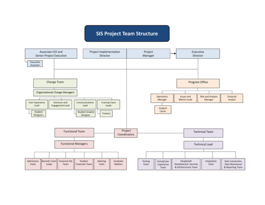#### **SIS Project Team Structure**

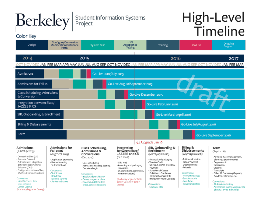

#### Berkeley | Student Information Systems

# High-Level<br>Timeline

#### **Color Kev**

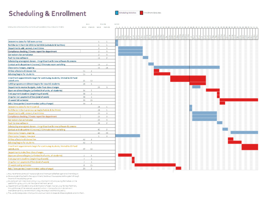#### **Scheduling & Enrollment**



|                                                                                         |               | <b>Basix</b>                    |                | 8311.688      | <b>MILLES</b>                  |
|-----------------------------------------------------------------------------------------|---------------|---------------------------------|----------------|---------------|--------------------------------|
| Schelspride entry et soudiezh a ma ina wich paraik in Cempa e Sok alors c'hraikt a-     |               | <b>MORE PROTEIN WOLD PASTED</b> |                |               |                                |
|                                                                                         |               |                                 |                |               |                                |
|                                                                                         |               |                                 |                |               |                                |
|                                                                                         |               |                                 |                |               |                                |
| Determine dates for fall term control                                                   |               |                                 | х.             | <b>B</b>      |                                |
| Rell the term from fall 2015 to fall 2016 (schedule & facilities)                       |               |                                 | $\overline{a}$ | <b>B</b>      |                                |
| Departments add, correct, insert times                                                  |               |                                 | 2              | $\alpha$      |                                |
| Compliance checking / Create report for department                                      |               |                                 | ž.             | -21           |                                |
| Conrections for compliance                                                              |               |                                 | 2              | -20           |                                |
| Fush to new software                                                                    |               |                                 | 11             | 2.            | m                              |
| Scheduling unassigned classes - insignificant with new software & process.              |               |                                 |                |               |                                |
| Contact with department (review) / Eliminate room switching                             |               |                                 | 13             |               | W)                             |
| Classroom changes, ongoing                                                              |               |                                 | 35             | 24            | ,,,,,,,,,,,,,,,,,,,,,,,,,,,,,, |
| Online schedule of classes live                                                         | 15            |                                 |                |               |                                |
| Advising begins for students                                                            | 15            | -6                              |                |               |                                |
| Enrollment appointments begin for continuing students, limited to 13 hard               |               |                                 |                |               |                                |
| coded units                                                                             | 21.           | 13                              |                |               |                                |
| CalSO programs entollment begins for new UG students                                    | 28            | <b>16.</b>                      |                |               |                                |
| Departments receive budgets, make final class changes                                   |               |                                 | 39             | $\mathcal{I}$ | 9777),                         |
| Open enrollment begins (unlimited # ef units, all students)                             | 34            | -51                             |                |               |                                |
| First payment deadline (beginning of week)                                              | 31            | $\mathbf{I}$                    |                |               |                                |
| Orop for non-payment of fees (end of week)                                              | 31            | $\mathbf{1}$                    |                |               |                                |
| 15-week fall serventer                                                                  | 33            | LS                              |                |               |                                |
| Add / drop period (recommended policy change)                                           | 33            |                                 |                |               |                                |
| Determine dates for term control.                                                       |               |                                 | 28.            |               |                                |
| koll the term from previous spring (schedule & facilities)                              |               |                                 | 28.            | л.            |                                |
| began ments add, correct, insert times                                                  |               |                                 | 35             | $\mathcal{A}$ |                                |
| Compliance checking / Create report for department                                      |               |                                 | 35             | $\mathbf{H}$  |                                |
| Comestions for compliance                                                               |               |                                 | 39             | -2            |                                |
| Funktionse satierare                                                                    |               |                                 | 34             | 2             | m                              |
| Scheduling unusulgred classes - insignificant with new software & precess               |               |                                 |                |               |                                |
| Contact with department (review) / Eliminate room aw tching                             |               |                                 | 40             | 2             |                                |
| Class soon changes, angoing                                                             |               |                                 | 43.            | 70            | VIIIIIIIIIIIIII                |
| Classroom changes, new year                                                             |               |                                 | $\mathbf{r}$   | $\sim$        |                                |
| Online schedule of classes live                                                         | 42.           | n.                              |                |               |                                |
| Advising begins for students                                                            | 42            |                                 |                |               |                                |
| Enrolment appointments begin for continuing students, limited to 13 hard<br>coded units | 42.           | L)                              |                |               |                                |
| Departments make final class changes.                                                   |               |                                 |                |               |                                |
| Open entailment begins (unlimited # of units, all students)                             |               |                                 |                |               |                                |
| First payment deadline (beginning of week)                                              | $\mathcal{C}$ | n,                              |                |               |                                |
| Drap for non-payment of fees fend of week)                                              | $\mathcal{C}$ | $\mathbf{I}$                    |                |               |                                |
| 15 week sating semester                                                                 | 8.            | t S                             |                |               |                                |
| Add / drep period (recommended policy change)                                           | 23            | $\mathbf{z}$                    |                |               |                                |
|                                                                                         |               |                                 |                |               |                                |

a Assumes that students will have a single enrolment period before open enrolment begins

a Onse a student has had his herappointment, heighe will have appear to the system through the end of the additivep period.

y Students will be limited to enrolling in cyunits than till mit probplacing themselves on the wait list for up to 4 units until the open enrolment period.

4 Organizments will be able to ensure distribution of search a class, e.g. for new freshmes, through the use of the reserved seasonly function in Campus Solutions (enrollment reservations and course restrictions. (regultes analysis and training years)

5 The use of preceptione in Campus Splutions will restrict classes to those eligible to enroll in them.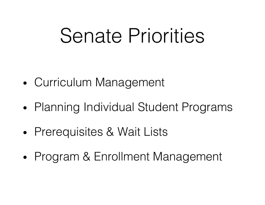### Senate Priorities

- Curriculum Management
- Planning Individual Student Programs
- Prerequisites & Wait Lists
- Program & Enrollment Management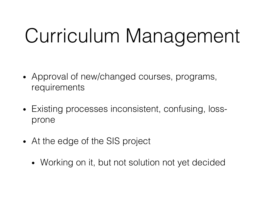## Curriculum Management

- Approval of new/changed courses, programs, requirements
- Existing processes inconsistent, confusing, lossprone
- At the edge of the SIS project
	- Working on it, but not solution not yet decided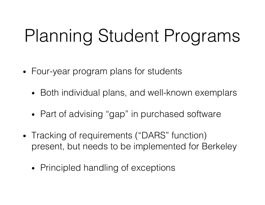#### Planning Student Programs

- Four-year program plans for students
	- Both individual plans, and well-known exemplars
	- Part of advising "gap" in purchased software
- Tracking of requirements ("DARS" function) present, but needs to be implemented for Berkeley
	- Principled handling of exceptions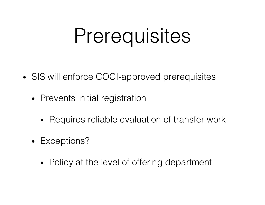### Prerequisites

- SIS will enforce COCI-approved prerequisites
	- Prevents initial registration
		- Requires reliable evaluation of transfer work
	- Exceptions?
		- Policy at the level of offering department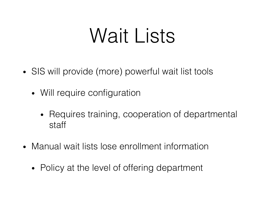### Wait Lists

- SIS will provide (more) powerful wait list tools
	- Will require configuration
		- Requires training, cooperation of departmental staff
- Manual wait lists lose enrollment information
	- Policy at the level of offering department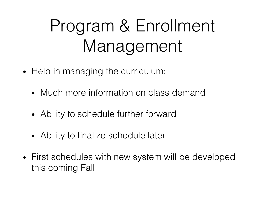#### Program & Enrollment Management

- Help in managing the curriculum:
	- Much more information on class demand
	- Ability to schedule further forward
	- Ability to finalize schedule later
- First schedules with new system will be developed this coming Fall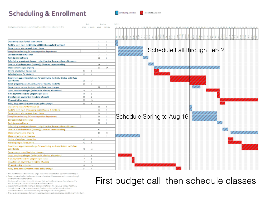#### **Scheduling & Enrollment**





a Assumes that students will have a single enrolment period before open enrolment begins

a Once a student has had his the lapp circment. heighe will have access to the system through the end of the additivip period.

y Students will be limited to enrolling in sy units than till mitigliacing themselves on the wait list for up to 4 units until the open enrollment period.

4 Cegarometro will be able to ensure distribution of seats in a class, e.g. for new freshmen, through the use of the reserved sequelly function in Campus Solutions (envolvient) reservations and course restrictions, (regultes analysis and training years).

5 The use of prevequisites in Campus Splutions will restrict classes to those eligible to enroll in them.

First budget call, then schedule classes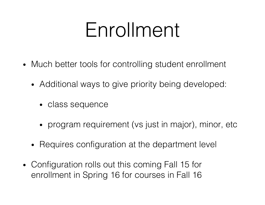### Enrollment

- Much better tools for controlling student enrollment
	- Additional ways to give priority being developed:
		- class sequence
		- program requirement (vs just in major), minor, etc
	- Requires configuration at the department level
- Configuration rolls out this coming Fall 15 for enrollment in Spring 16 for courses in Fall 16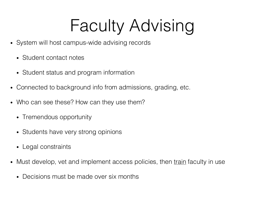#### Faculty Advising

- System will host campus-wide advising records
	- Student contact notes
	- Student status and program information
- Connected to background info from admissions, grading, etc.
- Who can see these? How can they use them?
	- Tremendous opportunity
	- Students have very strong opinions
	- Legal constraints
- Must develop, vet and implement access policies, then train faculty in use
	- Decisions must be made over six months